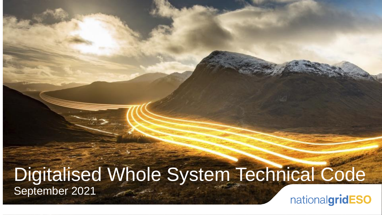### Digitalised Whole System Technical Code September 2021nationalgridESO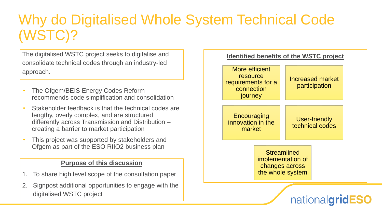# Why do Digitalised Whole System Technical Code (WSTC)?

The digitalised WSTC project seeks to digitalise and consolidate technical codes through an industry-led approach.

- The Ofgem/BEIS Energy Codes Reform recommends code simplification and consolidation
- Stakeholder feedback is that the technical codes are lengthy, overly complex, and are structured differently across Transmission and Distribution – creating a barrier to market participation
- This project was supported by stakeholders and Ofgem as part of the ESO RIIO2 business plan

#### **Purpose of this discussion**

- 1. To share high level scope of the consultation paper
- 2. Signpost additional opportunities to engage with the digitalised WSTC project

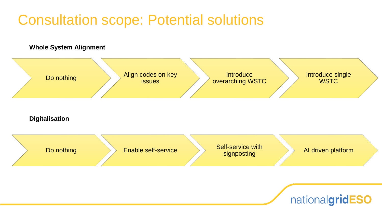### Consultation scope: Potential solutions

#### **Whole System Alignment**

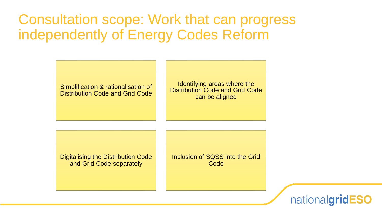### Consultation scope: Work that can progress independently of Energy Codes Reform



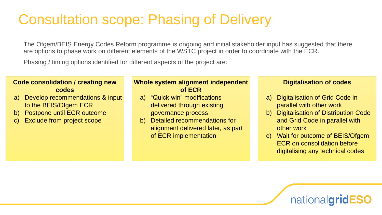# Consultation scope: Phasing of Delivery

The Ofgem/BEIS Energy Codes Reform programme is ongoing and initial stakeholder input has suggested that there are options to phase work on different elements of the WSTC project in order to coordinate with the ECR.

Phasing / timing options identified for different aspects of the project are:

#### **Code consolidation / creating new codes**

- a) Develop recommendations & input to the BEIS/Ofgem ECR
- b) Postpone until ECR outcome
- c) Exclude from project scope

#### **Whole system alignment independent of ECR**

- a) "Quick win" modifications delivered through existing governance process
- b) Detailed recommendations for alignment delivered later, as part of ECR implementation

#### **Digitalisation of codes**

- a) Digitalisation of Grid Code in parallel with other work
- b) Digitalisation of Distribution Code and Grid Code in parallel with other work
- c) Wait for outcome of BEIS/Ofgem ECR on consolidation before digitalising any technical codes

nationalgridESO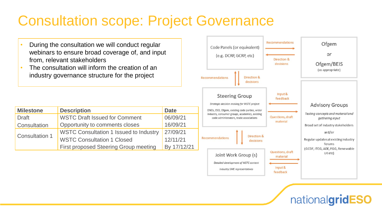# Consultation scope: Project Governance

- During the consultation we will conduct regular webinars to ensure broad coverage of, and input from, relevant stakeholders
- The consultation will inform the creation of an industry governance structure for the project

| <b>Milestone</b>      | <b>Description</b>                            | <b>Date</b> |
|-----------------------|-----------------------------------------------|-------------|
| <b>Draft</b>          | <b>WSTC Draft Issued for Comment</b>          | 06/09/21    |
| Consultation          | Opportunity to comments closes                | 16/09/21    |
| <b>Consultation 1</b> | <b>WSTC Consultation 1 Issued to Industry</b> | 27/09/21    |
|                       | <b>WSTC Consultation 1 Closed</b>             | 12/11/21    |
|                       | <b>First proposed Steering Group meeting</b>  | By 17/12/21 |



nationalgridESO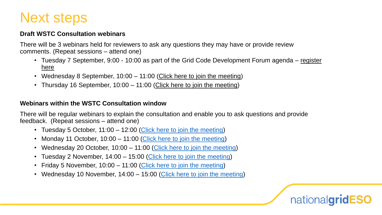### Next steps

#### **Draft WSTC Consultation webinars**

There will be 3 webinars held for reviewers to ask any questions they may have or provide review comments. (Repeat sessions – attend one)

- Tuesday 7 September, 9:00 10:00 as part of the [Grid Code Development Forum agenda –](https://uknationalgrid.webex.com/uknationalgrid/j.php?MTID=m4c27eede9911206e0fade2987990071c) register here
- Wednesday 8 September, 10:00 11:00 [\(Click here to join the meeting](https://teams.microsoft.com/l/meetup-join/19%3ameeting_ZDhjMDU5YmYtZTliMS00M2ViLTkzOTEtY2E4MWVhNDRiZjZl%40thread.v2/0?context=%7b%22Tid%22%3a%22f98a6a53-25f3-4212-901c-c7787fcd3495%22%2c%22Oid%22%3a%227158b293-9f1e-4941-92e7-24de29567387%22%7d))
- Thursday 16 September, 10:00 11:00 [\(Click here to join the meeting\)](https://teams.microsoft.com/l/meetup-join/19%3ameeting_MjA4NDMyMjMtYzU5Zi00ZDRkLWI3ZmYtMmY0MWY2MDY2Njg1%40thread.v2/0?context=%7b%22Tid%22%3a%22f98a6a53-25f3-4212-901c-c7787fcd3495%22%2c%22Oid%22%3a%227158b293-9f1e-4941-92e7-24de29567387%22%7d)

#### **Webinars within the WSTC Consultation window**

There will be regular webinars to explain the consultation and enable you to ask questions and provide feedback. (Repeat sessions – attend one)

- Tuesday 5 October, 11:00 12:00 [\(Click here to join the meeting\)](https://teams.microsoft.com/l/meetup-join/19%3ameeting_YWY4ZTM2M2ItY2M2OC00N2E2LWJkMTAtZDhlYzllYjk3ZTIz%40thread.v2/0?context=%7b%22Tid%22%3a%22f98a6a53-25f3-4212-901c-c7787fcd3495%22%2c%22Oid%22%3a%227158b293-9f1e-4941-92e7-24de29567387%22%7d)
- Monday 11 October, 10:00 11:00 [\(Click here to join the meeting\)](https://teams.microsoft.com/l/meetup-join/19%3ameeting_MDA3ZDU5M2EtMzdmMi00MjAxLWE4ZDctMDYwMjEzN2M1YmFm%40thread.v2/0?context=%7b%22Tid%22%3a%22f98a6a53-25f3-4212-901c-c7787fcd3495%22%2c%22Oid%22%3a%227158b293-9f1e-4941-92e7-24de29567387%22%7d)
- Wednesday 20 October, 10:00 11:00 [\(Click here to join the meeting\)](https://teams.microsoft.com/l/meetup-join/19%3ameeting_Y2MxOTI4MzMtN2JkYi00ZmU2LTk1MmUtYmNmMmM4NGEzZjUw%40thread.v2/0?context=%7b%22Tid%22%3a%22f98a6a53-25f3-4212-901c-c7787fcd3495%22%2c%22Oid%22%3a%227158b293-9f1e-4941-92e7-24de29567387%22%7d)
- Tuesday 2 November, 14:00 15:00 [\(Click here to join the meeting\)](https://teams.microsoft.com/l/meetup-join/19%3ameeting_Mjc2NjNlZGMtMGI3NC00ZjNkLTk5OTktYWFkYTI5MGFmMDI2%40thread.v2/0?context=%7b%22Tid%22%3a%22f98a6a53-25f3-4212-901c-c7787fcd3495%22%2c%22Oid%22%3a%227158b293-9f1e-4941-92e7-24de29567387%22%7d)
- Friday 5 November, 10:00 11:00 ([Click here to join the meeting](https://teams.microsoft.com/l/meetup-join/19%3ameeting_NDViYmI4MjgtOGZlNi00MDdkLTgwNjYtOGQ4NDI4NWI4NzY1%40thread.v2/0?context=%7b%22Tid%22%3a%22f98a6a53-25f3-4212-901c-c7787fcd3495%22%2c%22Oid%22%3a%227158b293-9f1e-4941-92e7-24de29567387%22%7d))
- Wednesday 10 November, 14:00 15:00 [\(Click here to join the meeting\)](https://teams.microsoft.com/l/meetup-join/19%3ameeting_YTU4ZjJlYmEtYWM3NC00N2MwLWE2ZTktZWFlNTc3NTFmNzUw%40thread.v2/0?context=%7b%22Tid%22%3a%22f98a6a53-25f3-4212-901c-c7787fcd3495%22%2c%22Oid%22%3a%227158b293-9f1e-4941-92e7-24de29567387%22%7d)